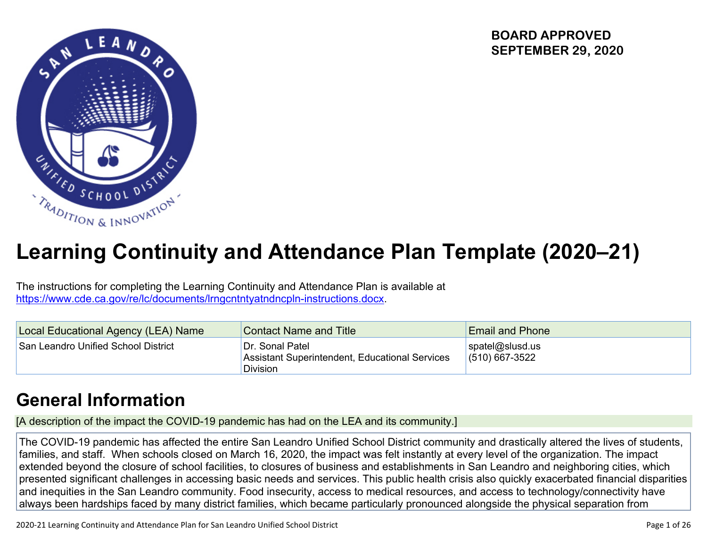**BOARD APPROVED SEPTEMBER 29, 2020**



# **Learning Continuity and Attendance Plan Template (2020–21)**

The instructions for completing the Learning Continuity and Attendance Plan is available at <https://www.cde.ca.gov/re/lc/documents/lrngcntntyatndncpln-instructions.docx>.

| Local Educational Agency (LEA) Name | <b>Contact Name and Title</b>                                                        | <b>Email and Phone</b>              |
|-------------------------------------|--------------------------------------------------------------------------------------|-------------------------------------|
| San Leandro Unified School District | Dr. Sonal Patel<br>Assistant Superintendent, Educational Services<br><b>Division</b> | spatel@slusd.us<br>$(510)$ 667-3522 |

# **General [Information](http://www.doc-tracking.com/screenshots/20LCP/Instructions/20LCPInstructions.htm#generalinformation)**

[A description of the impact the COVID-19 pandemic has had on the LEA and its community.]

The COVID-19 pandemic has affected the entire San Leandro Unified School District community and drastically altered the lives of students, families, and staff. When schools closed on March 16, 2020, the impact was felt instantly at every level of the organization. The impact extended beyond the closure of school facilities, to closures of business and establishments in San Leandro and neighboring cities, which presented significant challenges in accessing basic needs and services. This public health crisis also quickly exacerbated financial disparities and inequities in the San Leandro community. Food insecurity, access to medical resources, and access to technology/connectivity have always been hardships faced by many district families, which became particularly pronounced alongside the physical separation from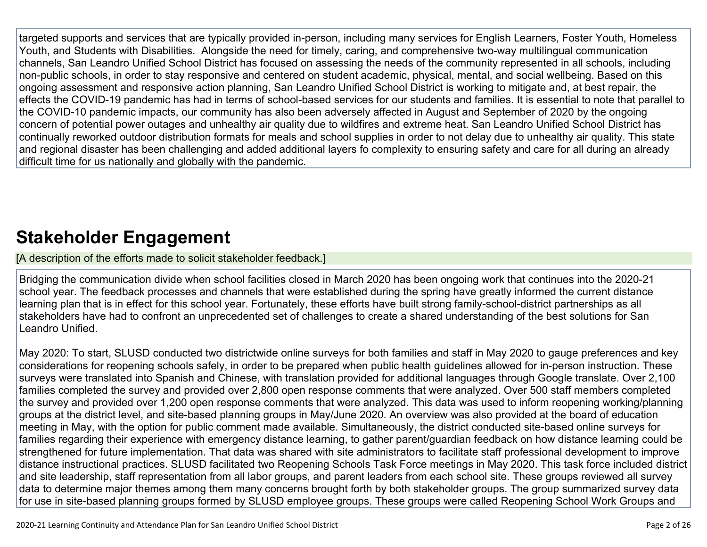targeted supports and services that are typically provided in-person, including many services for English Learners, Foster Youth, Homeless Youth, and Students with Disabilities. Alongside the need for timely, caring, and comprehensive two-way multilingual communication channels, San Leandro Unified School District has focused on assessing the needs of the community represented in all schools, including non-public schools, in order to stay responsive and centered on student academic, physical, mental, and social wellbeing. Based on this ongoing assessment and responsive action planning, San Leandro Unified School District is working to mitigate and, at best repair, the effects the COVID-19 pandemic has had in terms of school-based services for our students and families. It is essential to note that parallel to the COVID-10 pandemic impacts, our community has also been adversely affected in August and September of 2020 by the ongoing concern of potential power outages and unhealthy air quality due to wildfires and extreme heat. San Leandro Unified School District has continually reworked outdoor distribution formats for meals and school supplies in order to not delay due to unhealthy air quality. This state and regional disaster has been challenging and added additional layers fo complexity to ensuring safety and care for all during an already difficult time for us nationally and globally with the pandemic.

# **Stakeholder [Engagement](http://www.doc-tracking.com/screenshots/20LCP/Instructions/20LCPInstructions.htm#stakeholderengagement)**

[A description of the efforts made to solicit stakeholder feedback.]

Bridging the communication divide when school facilities closed in March 2020 has been ongoing work that continues into the 2020-21 school year. The feedback processes and channels that were established during the spring have greatly informed the current distance learning plan that is in effect for this school year. Fortunately, these efforts have built strong family-school-district partnerships as all stakeholders have had to confront an unprecedented set of challenges to create a shared understanding of the best solutions for San Leandro Unified.

May 2020: To start, SLUSD conducted two districtwide online surveys for both families and staff in May 2020 to gauge preferences and key considerations for reopening schools safely, in order to be prepared when public health guidelines allowed for in-person instruction. These surveys were translated into Spanish and Chinese, with translation provided for additional languages through Google translate. Over 2,100 families completed the survey and provided over 2,800 open response comments that were analyzed. Over 500 staff members completed the survey and provided over 1,200 open response comments that were analyzed. This data was used to inform reopening working/planning groups at the district level, and site-based planning groups in May/June 2020. An overview was also provided at the board of education meeting in May, with the option for public comment made available. Simultaneously, the district conducted site-based online surveys for families regarding their experience with emergency distance learning, to gather parent/guardian feedback on how distance learning could be strengthened for future implementation. That data was shared with site administrators to facilitate staff professional development to improve distance instructional practices. SLUSD facilitated two Reopening Schools Task Force meetings in May 2020. This task force included district and site leadership, staff representation from all labor groups, and parent leaders from each school site. These groups reviewed all survey data to determine major themes among them many concerns brought forth by both stakeholder groups. The group summarized survey data for use in site-based planning groups formed by SLUSD employee groups. These groups were called Reopening School Work Groups and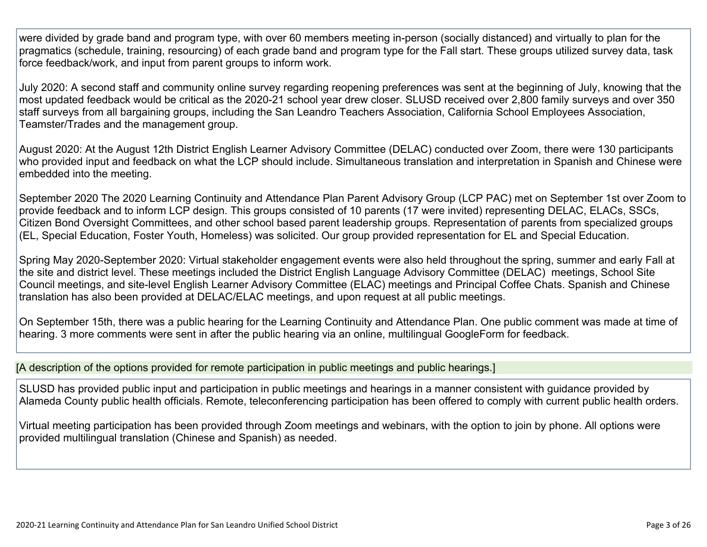were divided by grade band and program type, with over 60 members meeting in-person (socially distanced) and virtually to plan for the pragmatics (schedule, training, resourcing) of each grade band and program type for the Fall start. These groups utilized survey data, task force feedback/work, and input from parent groups to inform work.

July 2020: A second staff and community online survey regarding reopening preferences was sent at the beginning of July, knowing that the most updated feedback would be critical as the 2020-21 school year drew closer. SLUSD received over 2,800 family surveys and over 350 staff surveys from all bargaining groups, including the San Leandro Teachers Association, California School Employees Association, Teamster/Trades and the management group.

August 2020: At the August 12th District English Learner Advisory Committee (DELAC) conducted over Zoom, there were 130 participants who provided input and feedback on what the LCP should include. Simultaneous translation and interpretation in Spanish and Chinese were embedded into the meeting.

September 2020 The 2020 Learning Continuity and Attendance Plan Parent Advisory Group (LCP PAC) met on September 1st over Zoom to provide feedback and to inform LCP design. This groups consisted of 10 parents (17 were invited) representing DELAC, ELACs, SSCs, Citizen Bond Oversight Committees, and other school based parent leadership groups. Representation of parents from specialized groups (EL, Special Education, Foster Youth, Homeless) was solicited. Our group provided representation for EL and Special Education.

Spring May 2020-September 2020: Virtual stakeholder engagement events were also held throughout the spring, summer and early Fall at the site and district level. These meetings included the District English Language Advisory Committee (DELAC) meetings, School Site Council meetings, and site-level English Learner Advisory Committee (ELAC) meetings and Principal Coffee Chats. Spanish and Chinese translation has also been provided at DELAC/ELAC meetings, and upon request at all public meetings.

On September 15th, there was a public hearing for the Learning Continuity and Attendance Plan. One public comment was made at time of hearing. 3 more comments were sent in after the public hearing via an online, multilingual GoogleForm for feedback.

### [A description of the options provided for remote participation in public meetings and public hearings.]

SLUSD has provided public input and participation in public meetings and hearings in a manner consistent with guidance provided by Alameda County public health officials. Remote, teleconferencing participation has been offered to comply with current public health orders.

Virtual meeting participation has been provided through Zoom meetings and webinars, with the option to join by phone. All options were provided multilingual translation (Chinese and Spanish) as needed.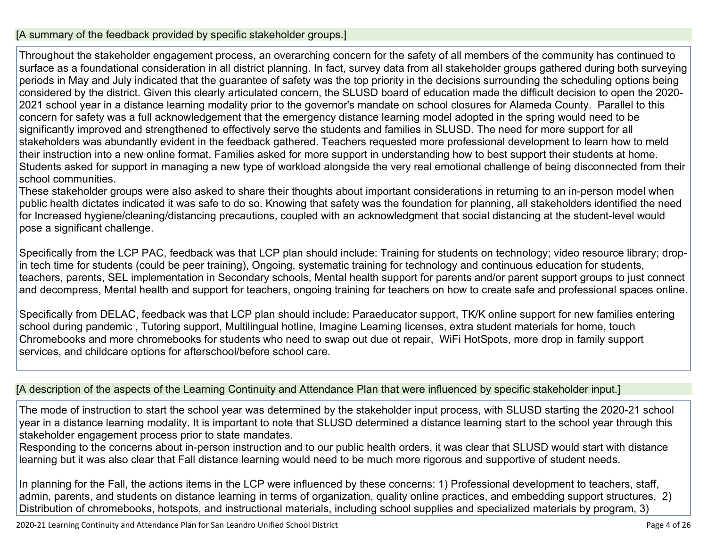### [A summary of the feedback provided by specific stakeholder groups.]

Throughout the stakeholder engagement process, an overarching concern for the safety of all members of the community has continued to surface as a foundational consideration in all district planning. In fact, survey data from all stakeholder groups gathered during both surveying periods in May and July indicated that the guarantee of safety was the top priority in the decisions surrounding the scheduling options being considered by the district. Given this clearly articulated concern, the SLUSD board of education made the difficult decision to open the 2020- 2021 school year in a distance learning modality prior to the governor's mandate on school closures for Alameda County. Parallel to this concern for safety was a full acknowledgement that the emergency distance learning model adopted in the spring would need to be significantly improved and strengthened to effectively serve the students and families in SLUSD. The need for more support for all stakeholders was abundantly evident in the feedback gathered. Teachers requested more professional development to learn how to meld their instruction into a new online format. Families asked for more support in understanding how to best support their students at home. Students asked for support in managing a new type of workload alongside the very real emotional challenge of being disconnected from their school communities.

These stakeholder groups were also asked to share their thoughts about important considerations in returning to an in-person model when public health dictates indicated it was safe to do so. Knowing that safety was the foundation for planning, all stakeholders identified the need for Increased hygiene/cleaning/distancing precautions, coupled with an acknowledgment that social distancing at the student-level would pose a significant challenge.

Specifically from the LCP PAC, feedback was that LCP plan should include: Training for students on technology; video resource library; dropin tech time for students (could be peer training), Ongoing, systematic training for technology and continuous education for students, teachers, parents, SEL implementation in Secondary schools, Mental health support for parents and/or parent support groups to just connect and decompress, Mental health and support for teachers, ongoing training for teachers on how to create safe and professional spaces online.

Specifically from DELAC, feedback was that LCP plan should include: Paraeducator support, TK/K online support for new families entering school during pandemic , Tutoring support, Multilingual hotline, Imagine Learning licenses, extra student materials for home, touch Chromebooks and more chromebooks for students who need to swap out due ot repair, WiFi HotSpots, more drop in family support services, and childcare options for afterschool/before school care.

### [A description of the aspects of the Learning Continuity and Attendance Plan that were influenced by specific stakeholder input.]

The mode of instruction to start the school year was determined by the stakeholder input process, with SLUSD starting the 2020-21 school year in a distance learning modality. It is important to note that SLUSD determined a distance learning start to the school year through this stakeholder engagement process prior to state mandates.

Responding to the concerns about in-person instruction and to our public health orders, it was clear that SLUSD would start with distance learning but it was also clear that Fall distance learning would need to be much more rigorous and supportive of student needs.

In planning for the Fall, the actions items in the LCP were influenced by these concerns: 1) Professional development to teachers, staff, admin, parents, and students on distance learning in terms of organization, quality online practices, and embedding support structures, 2) Distribution of chromebooks, hotspots, and instructional materials, including school supplies and specialized materials by program, 3)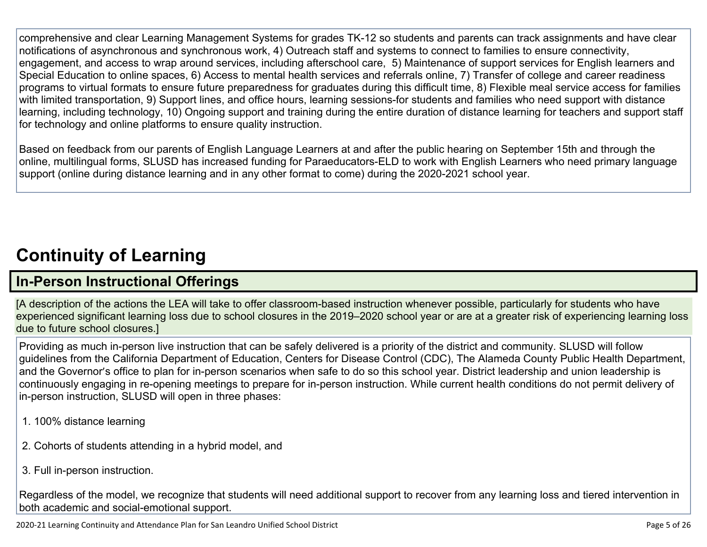comprehensive and clear Learning Management Systems for grades TK-12 so students and parents can track assignments and have clear notifications of asynchronous and synchronous work, 4) Outreach staff and systems to connect to families to ensure connectivity, engagement, and access to wrap around services, including afterschool care, 5) Maintenance of support services for English learners and Special Education to online spaces, 6) Access to mental health services and referrals online, 7) Transfer of college and career readiness programs to virtual formats to ensure future preparedness for graduates during this difficult time, 8) Flexible meal service access for families with limited transportation, 9) Support lines, and office hours, learning sessions-for students and families who need support with distance learning, including technology, 10) Ongoing support and training during the entire duration of distance learning for teachers and support staff for technology and online platforms to ensure quality instruction.

Based on feedback from our parents of English Language Learners at and after the public hearing on September 15th and through the online, multilingual forms, SLUSD has increased funding for Paraeducators-ELD to work with English Learners who need primary language support (online during distance learning and in any other format to come) during the 2020-2021 school year.

# **[Continuity](http://www.doc-tracking.com/screenshots/20LCP/Instructions/20LCPInstructions.htm#ContinuityofLearning) of Learnin[g](http://www.doc-tracking.com/screenshots/20LCP/Instructions/20LCPInstructions.htm#ContinuityofLearning)**

# **In-Person [Instructional](http://www.doc-tracking.com/screenshots/20LCP/Instructions/20LCPInstructions.htm#ContinuityofLearning1) Offerings**

[A description of the actions the LEA will take to offer classroom-based instruction whenever possible, particularly for students who have experienced significant learning loss due to school closures in the 2019–2020 school year or are at a greater risk of experiencing learning loss due to future school closures.]

Providing as much in-person live instruction that can be safely delivered is a priority of the district and community. SLUSD will follow guidelines from the California Department of Education, Centers for Disease Control (CDC), The Alameda County Public Health Department, and the Governor's office to plan for in-person scenarios when safe to do so this school year. District leadership and union leadership is continuously engaging in re-opening meetings to prepare for in-person instruction. While current health conditions do not permit delivery of in-person instruction, SLUSD will open in three phases:

- 1. 100% distance learning
- 2. Cohorts of students attending in a hybrid model, and
- 3. Full in-person instruction.

Regardless of the model, we recognize that students will need additional support to recover from any learning loss and tiered intervention in both academic and social-emotional support.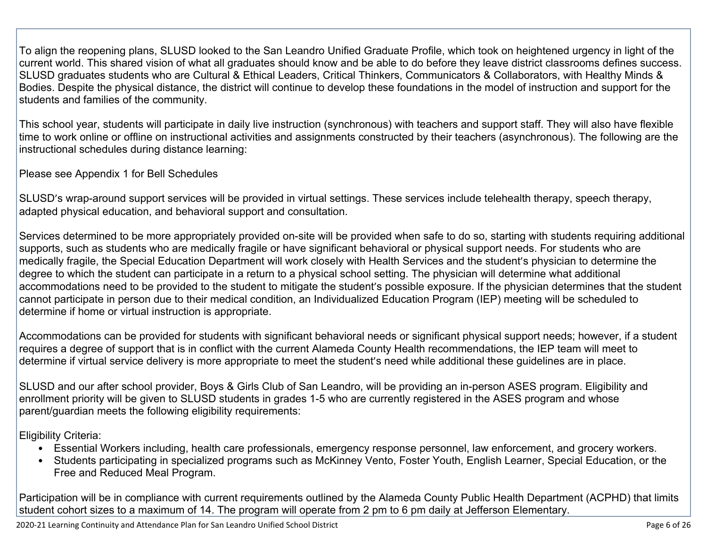To align the reopening plans, SLUSD looked to the San Leandro Unified Graduate Profile, which took on heightened urgency in light of the current world. This shared vision of what all graduates should know and be able to do before they leave district classrooms defines success. SLUSD graduates students who are Cultural & Ethical Leaders, Critical Thinkers, Communicators & Collaborators, with Healthy Minds & Bodies. Despite the physical distance, the district will continue to develop these foundations in the model of instruction and support for the students and families of the community.

This school year, students will participate in daily live instruction (synchronous) with teachers and support staff. They will also have flexible time to work online or offline on instructional activities and assignments constructed by their teachers (asynchronous). The following are the instructional schedules during distance learning:

Please see Appendix 1 for Bell Schedules

SLUSD's wrap-around support services will be provided in virtual settings. These services include telehealth therapy, speech therapy, adapted physical education, and behavioral support and consultation.

Services determined to be more appropriately provided on-site will be provided when safe to do so, starting with students requiring additional supports, such as students who are medically fragile or have significant behavioral or physical support needs. For students who are medically fragile, the Special Education Department will work closely with Health Services and the student's physician to determine the degree to which the student can participate in a return to a physical school setting. The physician will determine what additional accommodations need to be provided to the student to mitigate the student's possible exposure. If the physician determines that the student cannot participate in person due to their medical condition, an Individualized Education Program (IEP) meeting will be scheduled to determine if home or virtual instruction is appropriate.

Accommodations can be provided for students with significant behavioral needs or significant physical support needs; however, if a student requires a degree of support that is in conflict with the current Alameda County Health recommendations, the IEP team will meet to determine if virtual service delivery is more appropriate to meet the student's need while additional these guidelines are in place.

SLUSD and our after school provider, Boys & Girls Club of San Leandro, will be providing an in-person ASES program. Eligibility and enrollment priority will be given to SLUSD students in grades 1-5 who are currently registered in the ASES program and whose parent/guardian meets the following eligibility requirements:

Eligibility Criteria:

- Essential Workers including, health care professionals, emergency response personnel, law enforcement, and grocery workers.
- Students participating in specialized programs such as McKinney Vento, Foster Youth, English Learner, Special Education, or the Free and Reduced Meal Program.

Participation will be in compliance with current requirements outlined by the Alameda County Public Health Department (ACPHD) that limits student cohort sizes to a maximum of 14. The program will operate from 2 pm to 6 pm daily at Jefferson Elementary.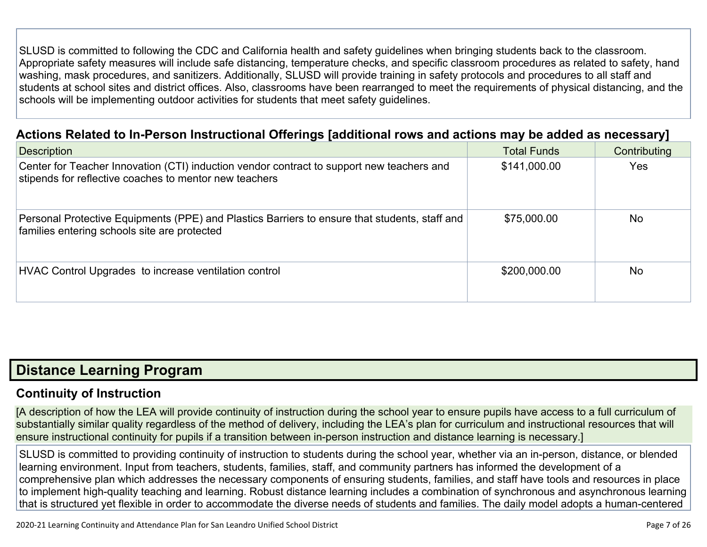SLUSD is committed to following the CDC and California health and safety guidelines when bringing students back to the classroom. Appropriate safety measures will include safe distancing, temperature checks, and specific classroom procedures as related to safety, hand washing, mask procedures, and sanitizers. Additionally, SLUSD will provide training in safety protocols and procedures to all staff and students at school sites and district offices. Also, classrooms have been rearranged to meet the requirements of physical distancing, and the schools will be implementing outdoor activities for students that meet safety guidelines.

## **Actions Related to In-Person [Instructional](http://www.doc-tracking.com/screenshots/20LCP/Instructions/20LCPInstructions.htm#ContinuityofLearning2) Offerings [additional rows and actions may be added as necessary]**

| <b>Description</b>                                                                                                                                  | <b>Total Funds</b> | Contributing |
|-----------------------------------------------------------------------------------------------------------------------------------------------------|--------------------|--------------|
| Center for Teacher Innovation (CTI) induction vendor contract to support new teachers and<br>stipends for reflective coaches to mentor new teachers | \$141,000.00       | Yes          |
| Personal Protective Equipments (PPE) and Plastics Barriers to ensure that students, staff and<br>families entering schools site are protected       | \$75,000.00        | <b>No</b>    |
| HVAC Control Upgrades to increase ventilation control                                                                                               | \$200,000.00       | <b>No</b>    |

# **Distance [Learning](http://www.doc-tracking.com/screenshots/20LCP/Instructions/20LCPInstructions.htm#DistanceLearningProgram) Program**

## **Continuity of [Instruction](http://www.doc-tracking.com/screenshots/20LCP/Instructions/20LCPInstructions.htm#DistanceLearningProgram1)**

[A description of how the LEA will provide continuity of instruction during the school year to ensure pupils have access to a full curriculum of substantially similar quality regardless of the method of delivery, including the LEA's plan for curriculum and instructional resources that will ensure instructional continuity for pupils if a transition between in-person instruction and distance learning is necessary.]

SLUSD is committed to providing continuity of instruction to students during the school year, whether via an in-person, distance, or blended learning environment. Input from teachers, students, families, staff, and community partners has informed the development of a comprehensive plan which addresses the necessary components of ensuring students, families, and staff have tools and resources in place to implement high-quality teaching and learning. Robust distance learning includes a combination of synchronous and asynchronous learning that is structured yet flexible in order to accommodate the diverse needs of students and families. The daily model adopts a human-centered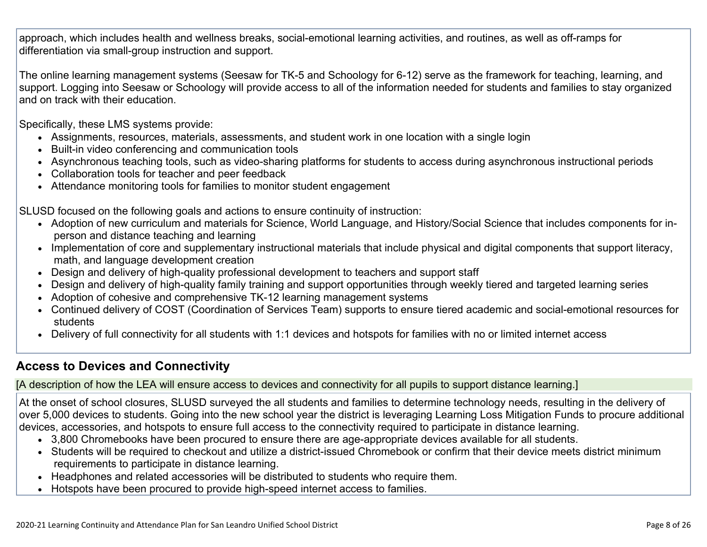approach, which includes health and wellness breaks, social-emotional learning activities, and routines, as well as off-ramps for differentiation via small-group instruction and support.

The online learning management systems (Seesaw for TK-5 and Schoology for 6-12) serve as the framework for teaching, learning, and support. Logging into Seesaw or Schoology will provide access to all of the information needed for students and families to stay organized and on track with their education.

Specifically, these LMS systems provide:

- Assignments, resources, materials, assessments, and student work in one location with a single login
- Built-in video conferencing and communication tools
- Asynchronous teaching tools, such as video-sharing platforms for students to access during asynchronous instructional periods
- Collaboration tools for teacher and peer feedback
- Attendance monitoring tools for families to monitor student engagement

SLUSD focused on the following goals and actions to ensure continuity of instruction:

- Adoption of new curriculum and materials for Science, World Language, and History/Social Science that includes components for inperson and distance teaching and learning
- Implementation of core and supplementary instructional materials that include physical and digital components that support literacy, math, and language development creation
- Design and delivery of high-quality professional development to teachers and support staff
- Design and delivery of high-quality family training and support opportunities through weekly tiered and targeted learning series
- Adoption of cohesive and comprehensive TK-12 learning management systems
- Continued delivery of COST (Coordination of Services Team) supports to ensure tiered academic and social-emotional resources for students
- Delivery of full connectivity for all students with 1:1 devices and hotspots for families with no or limited internet access

## **Access to Devices and [Connectivity](http://www.doc-tracking.com/screenshots/20LCP/Instructions/20LCPInstructions.htm#DistanceLearningProgram2)**

[A description of how the LEA will ensure access to devices and connectivity for all pupils to support distance learning.]

At the onset of school closures, SLUSD surveyed the all students and families to determine technology needs, resulting in the delivery of over 5,000 devices to students. Going into the new school year the district is leveraging Learning Loss Mitigation Funds to procure additional devices, accessories, and hotspots to ensure full access to the connectivity required to participate in distance learning.

- 3,800 Chromebooks have been procured to ensure there are age-appropriate devices available for all students.
- Students will be required to checkout and utilize a district-issued Chromebook or confirm that their device meets district minimum requirements to participate in distance learning.
- Headphones and related accessories will be distributed to students who require them.
- Hotspots have been procured to provide high-speed internet access to families.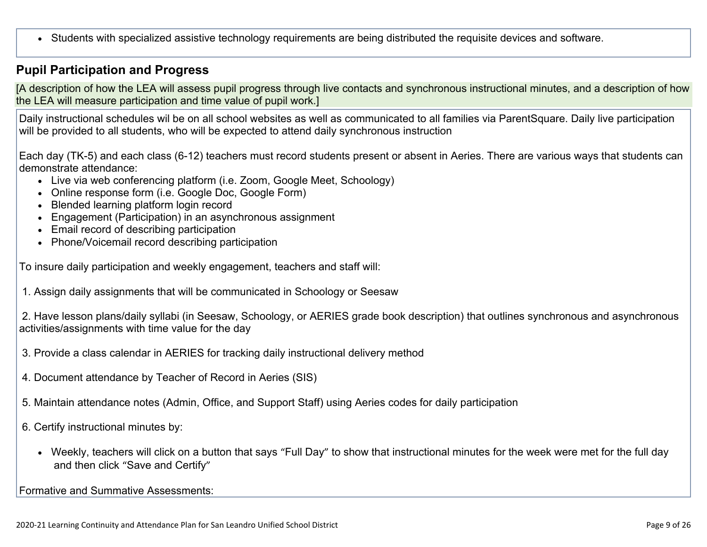Students with specialized assistive technology requirements are being distributed the requisite devices and software.

## **Pupil [Participation](http://www.doc-tracking.com/screenshots/20LCP/Instructions/20LCPInstructions.htm#DistanceLearningProgram3) and Progress**

[A description of how the LEA will assess pupil progress through live contacts and synchronous instructional minutes, and a description of how the LEA will measure participation and time value of pupil work.]

Daily instructional schedules wil be on all school websites as well as communicated to all families via ParentSquare. Daily live participation will be provided to all students, who will be expected to attend daily synchronous instruction

Each day (TK-5) and each class (6-12) teachers must record students present or absent in Aeries. There are various ways that students can demonstrate attendance:

- Live via web conferencing platform (i.e. Zoom, Google Meet, Schoology)
- Online response form (i.e. Google Doc, Google Form)
- Blended learning platform login record
- Engagement (Participation) in an asynchronous assignment
- Email record of describing participation
- Phone/Voicemail record describing participation

To insure daily participation and weekly engagement, teachers and staff will:

1. Assign daily assignments that will be communicated in Schoology or Seesaw

2. Have lesson plans/daily syllabi (in Seesaw, Schoology, or AERIES grade book description) that outlines synchronous and asynchronous activities/assignments with time value for the day

- 3. Provide a class calendar in AERIES for tracking daily instructional delivery method
- 4. Document attendance by Teacher of Record in Aeries (SIS)
- 5. Maintain attendance notes (Admin, Office, and Support Staff) using Aeries codes for daily participation
- 6. Certify instructional minutes by:
	- Weekly, teachers will click on a button that says "Full Day" to show that instructional minutes for the week were met for the full day and then click "Save and Certify"

Formative and Summative Assessments: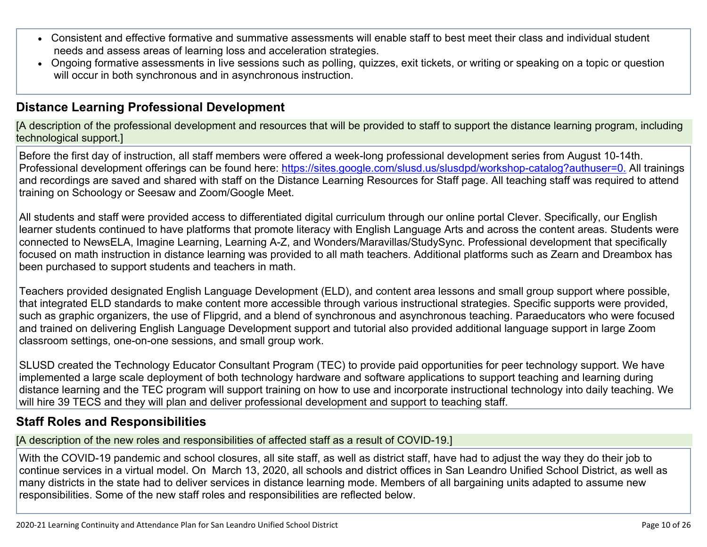- Consistent and effective formative and summative assessments will enable staff to best meet their class and individual student needs and assess areas of learning loss and acceleration strategies.
- Ongoing formative assessments in live sessions such as polling, quizzes, exit tickets, or writing or speaking on a topic or question will occur in both synchronous and in asynchronous instruction.

## **Distance Learning Professional [Development](http://www.doc-tracking.com/screenshots/20LCP/Instructions/20LCPInstructions.htm#DistanceLearningProgram4)**

[A description of the professional development and resources that will be provided to staff to support the distance learning program, including technological support.]

Before the first day of instruction, all staff members were offered a week-long professional development series from August 10-14th. Professional development offerings can be found here: <https://sites.google.com/slusd.us/slusdpd/workshop-catalog?authuser=0.> All trainings and recordings are saved and shared with staff on the Distance Learning Resources for Staff page. All teaching staff was required to attend training on Schoology or Seesaw and Zoom/Google Meet.

All students and staff were provided access to differentiated digital curriculum through our online portal Clever. Specifically, our English learner students continued to have platforms that promote literacy with English Language Arts and across the content areas. Students were connected to NewsELA, Imagine Learning, Learning A-Z, and Wonders/Maravillas/StudySync. Professional development that specifically focused on math instruction in distance learning was provided to all math teachers. Additional platforms such as Zearn and Dreambox has been purchased to support students and teachers in math.

Teachers provided designated English Language Development (ELD), and content area lessons and small group support where possible, that integrated ELD standards to make content more accessible through various instructional strategies. Specific supports were provided, such as graphic organizers, the use of Flipgrid, and a blend of synchronous and asynchronous teaching. Paraeducators who were focused and trained on delivering English Language Development support and tutorial also provided additional language support in large Zoom classroom settings, one-on-one sessions, and small group work.

SLUSD created the Technology Educator Consultant Program (TEC) to provide paid opportunities for peer technology support. We have implemented a large scale deployment of both technology hardware and software applications to support teaching and learning during distance learning and the TEC program will support training on how to use and incorporate instructional technology into daily teaching. We will hire 39 TECS and they will plan and deliver professional development and support to teaching staff.

## **Staff Roles and [Responsibilities](http://www.doc-tracking.com/screenshots/20LCP/Instructions/20LCPInstructions.htm#DistanceLearningProgram5)**

[A description of the new roles and responsibilities of affected staff as a result of COVID-19.]

With the COVID-19 pandemic and school closures, all site staff, as well as district staff, have had to adjust the way they do their job to continue services in a virtual model. On March 13, 2020, all schools and district offices in San Leandro Unified School District, as well as many districts in the state had to deliver services in distance learning mode. Members of all bargaining units adapted to assume new responsibilities. Some of the new staff roles and responsibilities are reflected below.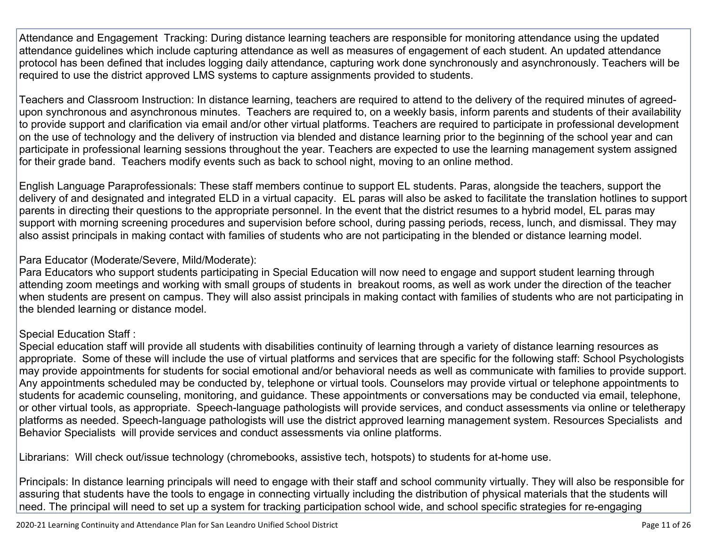Attendance and Engagement Tracking: During distance learning teachers are responsible for monitoring attendance using the updated attendance guidelines which include capturing attendance as well as measures of engagement of each student. An updated attendance protocol has been defined that includes logging daily attendance, capturing work done synchronously and asynchronously. Teachers will be required to use the district approved LMS systems to capture assignments provided to students.

Teachers and Classroom Instruction: In distance learning, teachers are required to attend to the delivery of the required minutes of agreedupon synchronous and asynchronous minutes. Teachers are required to, on a weekly basis, inform parents and students of their availability to provide support and clarification via email and/or other virtual platforms. Teachers are required to participate in professional development on the use of technology and the delivery of instruction via blended and distance learning prior to the beginning of the school year and can participate in professional learning sessions throughout the year. Teachers are expected to use the learning management system assigned for their grade band. Teachers modify events such as back to school night, moving to an online method.

English Language Paraprofessionals: These staff members continue to support EL students. Paras, alongside the teachers, support the delivery of and designated and integrated ELD in a virtual capacity. EL paras will also be asked to facilitate the translation hotlines to support parents in directing their questions to the appropriate personnel. In the event that the district resumes to a hybrid model, EL paras may support with morning screening procedures and supervision before school, during passing periods, recess, lunch, and dismissal. They may also assist principals in making contact with families of students who are not participating in the blended or distance learning model.

### Para Educator (Moderate/Severe, Mild/Moderate):

Para Educators who support students participating in Special Education will now need to engage and support student learning through attending zoom meetings and working with small groups of students in breakout rooms, as well as work under the direction of the teacher when students are present on campus. They will also assist principals in making contact with families of students who are not participating in the blended learning or distance model.

### Special Education Staff :

Special education staff will provide all students with disabilities continuity of learning through a variety of distance learning resources as appropriate. Some of these will include the use of virtual platforms and services that are specific for the following staff: School Psychologists may provide appointments for students for social emotional and/or behavioral needs as well as communicate with families to provide support. Any appointments scheduled may be conducted by, telephone or virtual tools. Counselors may provide virtual or telephone appointments to students for academic counseling, monitoring, and guidance. These appointments or conversations may be conducted via email, telephone, or other virtual tools, as appropriate. Speech-language pathologists will provide services, and conduct assessments via online or teletherapy platforms as needed. Speech-language pathologists will use the district approved learning management system. Resources Specialists and Behavior Specialists will provide services and conduct assessments via online platforms.

Librarians: Will check out/issue technology (chromebooks, assistive tech, hotspots) to students for at-home use.

Principals: In distance learning principals will need to engage with their staff and school community virtually. They will also be responsible for assuring that students have the tools to engage in connecting virtually including the distribution of physical materials that the students will need. The principal will need to set up a system for tracking participation school wide, and school specific strategies for re-engaging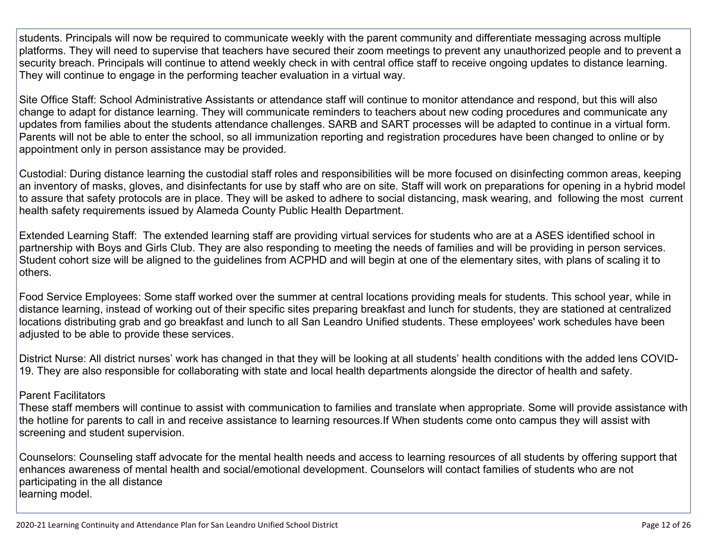students. Principals will now be required to communicate weekly with the parent community and differentiate messaging across multiple platforms. They will need to supervise that teachers have secured their zoom meetings to prevent any unauthorized people and to prevent a security breach. Principals will continue to attend weekly check in with central office staff to receive ongoing updates to distance learning. They will continue to engage in the performing teacher evaluation in a virtual way.

Site Office Staff: School Administrative Assistants or attendance staff will continue to monitor attendance and respond, but this will also change to adapt for distance learning. They will communicate reminders to teachers about new coding procedures and communicate any updates from families about the students attendance challenges. SARB and SART processes will be adapted to continue in a virtual form. Parents will not be able to enter the school, so all immunization reporting and registration procedures have been changed to online or by appointment only in person assistance may be provided.

Custodial: During distance learning the custodial staff roles and responsibilities will be more focused on disinfecting common areas, keeping an inventory of masks, gloves, and disinfectants for use by staff who are on site. Staff will work on preparations for opening in a hybrid model to assure that safety protocols are in place. They will be asked to adhere to social distancing, mask wearing, and following the most current health safety requirements issued by Alameda County Public Health Department.

Extended Learning Staff: The extended learning staff are providing virtual services for students who are at a ASES identified school in partnership with Boys and Girls Club. They are also responding to meeting the needs of families and will be providing in person services. Student cohort size will be aligned to the guidelines from ACPHD and will begin at one of the elementary sites, with plans of scaling it to others.

Food Service Employees: Some staff worked over the summer at central locations providing meals for students. This school year, while in distance learning, instead of working out of their specific sites preparing breakfast and lunch for students, they are stationed at centralized locations distributing grab and go breakfast and lunch to all San Leandro Unified students. These employees' work schedules have been adjusted to be able to provide these services.

District Nurse: All district nurses' work has changed in that they will be looking at all students' health conditions with the added lens COVID-19. They are also responsible for collaborating with state and local health departments alongside the director of health and safety.

#### Parent Facilitators

These staff members will continue to assist with communication to families and translate when appropriate. Some will provide assistance with the hotline for parents to call in and receive assistance to learning resources.If When students come onto campus they will assist with screening and student supervision.

Counselors: Counseling staff advocate for the mental health needs and access to learning resources of all students by offering support that enhances awareness of mental health and social/emotional development. Counselors will contact families of students who are not participating in the all distance learning model.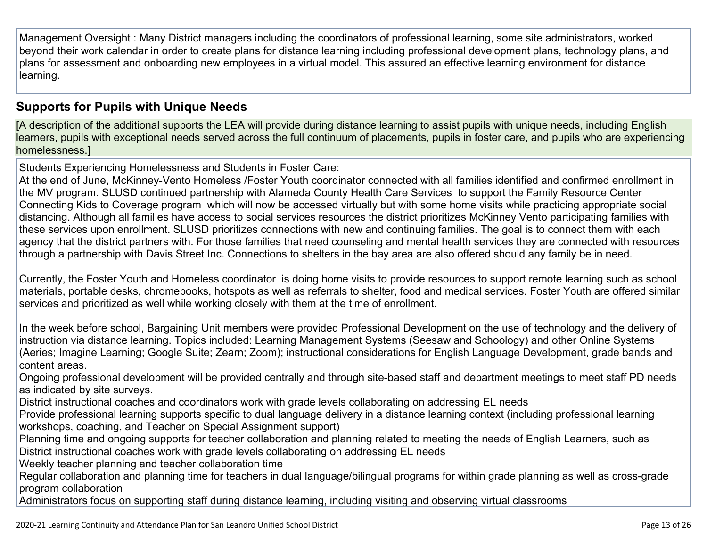Management Oversight : Many District managers including the coordinators of professional learning, some site administrators, worked beyond their work calendar in order to create plans for distance learning including professional development plans, technology plans, and plans for assessment and onboarding new employees in a virtual model. This assured an effective learning environment for distance learning.

## **[Supports](http://www.doc-tracking.com/screenshots/20LCP/Instructions/20LCPInstructions.htm#DistanceLearningProgram6) for Pupils with Unique Needs**

[A description of the additional supports the LEA will provide during distance learning to assist pupils with unique needs, including English learners, pupils with exceptional needs served across the full continuum of placements, pupils in foster care, and pupils who are experiencing homelessness.]

Students Experiencing Homelessness and Students in Foster Care:

At the end of June, McKinney-Vento Homeless /Foster Youth coordinator connected with all families identified and confirmed enrollment in the MV program. SLUSD continued partnership with Alameda County Health Care Services to support the Family Resource Center Connecting Kids to Coverage program which will now be accessed virtually but with some home visits while practicing appropriate social distancing. Although all families have access to social services resources the district prioritizes McKinney Vento participating families with these services upon enrollment. SLUSD prioritizes connections with new and continuing families. The goal is to connect them with each agency that the district partners with. For those families that need counseling and mental health services they are connected with resources through a partnership with Davis Street Inc. Connections to shelters in the bay area are also offered should any family be in need.

Currently, the Foster Youth and Homeless coordinator is doing home visits to provide resources to support remote learning such as school materials, portable desks, chromebooks, hotspots as well as referrals to shelter, food and medical services. Foster Youth are offered similar services and prioritized as well while working closely with them at the time of enrollment.

In the week before school, Bargaining Unit members were provided Professional Development on the use of technology and the delivery of instruction via distance learning. Topics included: Learning Management Systems (Seesaw and Schoology) and other Online Systems (Aeries; Imagine Learning; Google Suite; Zearn; Zoom); instructional considerations for English Language Development, grade bands and content areas.

Ongoing professional development will be provided centrally and through site-based staff and department meetings to meet staff PD needs as indicated by site surveys.

District instructional coaches and coordinators work with grade levels collaborating on addressing EL needs

Provide professional learning supports specific to dual language delivery in a distance learning context (including professional learning workshops, coaching, and Teacher on Special Assignment support)

Planning time and ongoing supports for teacher collaboration and planning related to meeting the needs of English Learners, such as District instructional coaches work with grade levels collaborating on addressing EL needs

Weekly teacher planning and teacher collaboration time

Regular collaboration and planning time for teachers in dual language/bilingual programs for within grade planning as well as cross-grade program collaboration

Administrators focus on supporting staff during distance learning, including visiting and observing virtual classrooms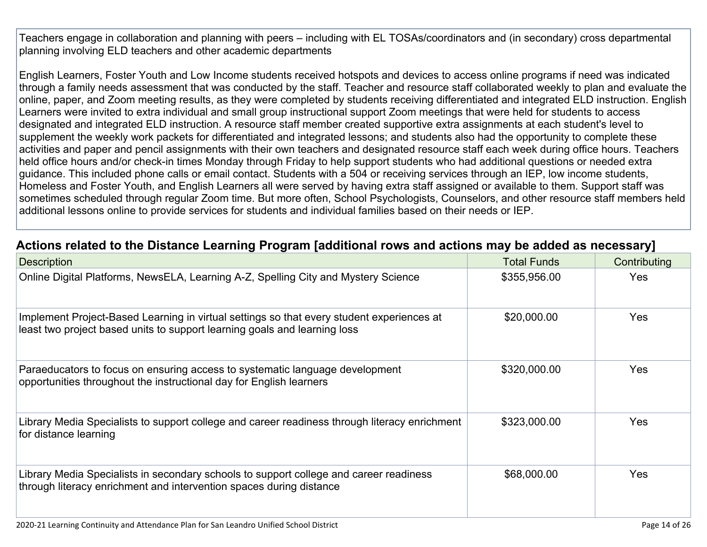Teachers engage in collaboration and planning with peers – including with EL TOSAs/coordinators and (in secondary) cross departmental planning involving ELD teachers and other academic departments

English Learners, Foster Youth and Low Income students received hotspots and devices to access online programs if need was indicated through a family needs assessment that was conducted by the staff. Teacher and resource staff collaborated weekly to plan and evaluate the online, paper, and Zoom meeting results, as they were completed by students receiving differentiated and integrated ELD instruction. English Learners were invited to extra individual and small group instructional support Zoom meetings that were held for students to access designated and integrated ELD instruction. A resource staff member created supportive extra assignments at each student's level to supplement the weekly work packets for differentiated and integrated lessons; and students also had the opportunity to complete these activities and paper and pencil assignments with their own teachers and designated resource staff each week during office hours. Teachers held office hours and/or check-in times Monday through Friday to help support students who had additional questions or needed extra guidance. This included phone calls or email contact. Students with a 504 or receiving services through an IEP, low income students, Homeless and Foster Youth, and English Learners all were served by having extra staff assigned or available to them. Support staff was sometimes scheduled through regular Zoom time. But more often, School Psychologists, Counselors, and other resource staff members held additional lessons online to provide services for students and individual families based on their needs or IEP.

## **Actions related to the Distance Learning Program [additional rows and actions may be added as [necessary\]](http://www.doc-tracking.com/screenshots/20LCP/Instructions/20LCPInstructions.htm#DistanceLearningProgram7)**

| <b>Description</b>                                                                                                                                                     | <b>Total Funds</b> | Contributing |
|------------------------------------------------------------------------------------------------------------------------------------------------------------------------|--------------------|--------------|
| Online Digital Platforms, NewsELA, Learning A-Z, Spelling City and Mystery Science                                                                                     | \$355,956.00       | <b>Yes</b>   |
| Implement Project-Based Learning in virtual settings so that every student experiences at<br>least two project based units to support learning goals and learning loss | \$20,000.00        | <b>Yes</b>   |
| Paraeducators to focus on ensuring access to systematic language development<br>opportunities throughout the instructional day for English learners                    | \$320,000.00       | <b>Yes</b>   |
| Library Media Specialists to support college and career readiness through literacy enrichment<br>for distance learning                                                 | \$323,000.00       | <b>Yes</b>   |
| Library Media Specialists in secondary schools to support college and career readiness<br>through literacy enrichment and intervention spaces during distance          | \$68,000.00        | <b>Yes</b>   |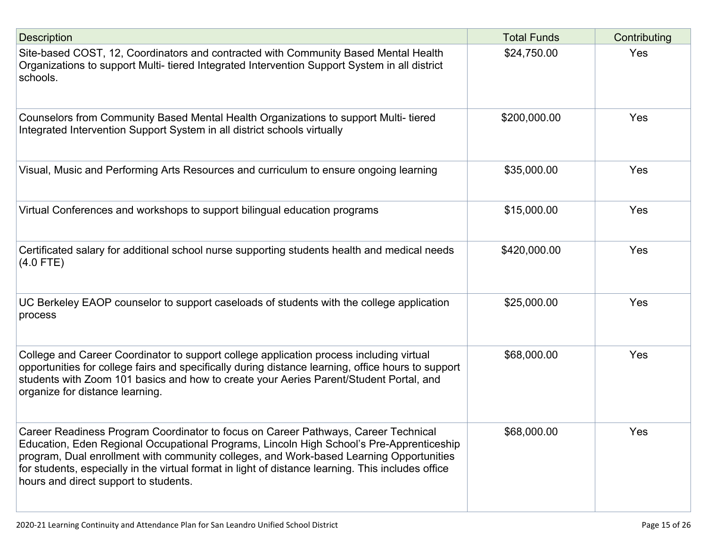| <b>Description</b>                                                                                                                                                                                                                                                                                                                                                                                                       | <b>Total Funds</b> | Contributing |
|--------------------------------------------------------------------------------------------------------------------------------------------------------------------------------------------------------------------------------------------------------------------------------------------------------------------------------------------------------------------------------------------------------------------------|--------------------|--------------|
| Site-based COST, 12, Coordinators and contracted with Community Based Mental Health<br>Organizations to support Multi- tiered Integrated Intervention Support System in all district<br>schools.                                                                                                                                                                                                                         | \$24,750.00        | Yes          |
| Counselors from Community Based Mental Health Organizations to support Multi-tiered<br>Integrated Intervention Support System in all district schools virtually                                                                                                                                                                                                                                                          | \$200,000.00       | Yes          |
| Visual, Music and Performing Arts Resources and curriculum to ensure ongoing learning                                                                                                                                                                                                                                                                                                                                    | \$35,000.00        | Yes          |
| Virtual Conferences and workshops to support bilingual education programs                                                                                                                                                                                                                                                                                                                                                | \$15,000.00        | Yes          |
| Certificated salary for additional school nurse supporting students health and medical needs<br>$(4.0$ FTE)                                                                                                                                                                                                                                                                                                              | \$420,000.00       | Yes          |
| UC Berkeley EAOP counselor to support caseloads of students with the college application<br>process                                                                                                                                                                                                                                                                                                                      | \$25,000.00        | Yes          |
| College and Career Coordinator to support college application process including virtual<br>opportunities for college fairs and specifically during distance learning, office hours to support<br>students with Zoom 101 basics and how to create your Aeries Parent/Student Portal, and<br>organize for distance learning.                                                                                               | \$68,000.00        | Yes          |
| Career Readiness Program Coordinator to focus on Career Pathways, Career Technical<br>Education, Eden Regional Occupational Programs, Lincoln High School's Pre-Apprenticeship<br>program, Dual enrollment with community colleges, and Work-based Learning Opportunities<br>for students, especially in the virtual format in light of distance learning. This includes office<br>hours and direct support to students. | \$68,000.00        | Yes          |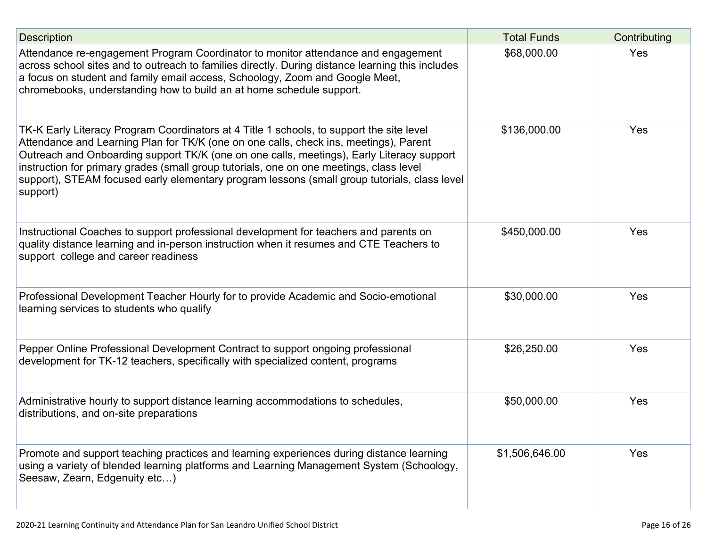| <b>Description</b>                                                                                                                                                                                                                                                                                                                                                                                                                                                                    | <b>Total Funds</b> | Contributing |
|---------------------------------------------------------------------------------------------------------------------------------------------------------------------------------------------------------------------------------------------------------------------------------------------------------------------------------------------------------------------------------------------------------------------------------------------------------------------------------------|--------------------|--------------|
| Attendance re-engagement Program Coordinator to monitor attendance and engagement<br>across school sites and to outreach to families directly. During distance learning this includes<br>a focus on student and family email access, Schoology, Zoom and Google Meet,<br>chromebooks, understanding how to build an at home schedule support.                                                                                                                                         | \$68,000.00        | Yes          |
| TK-K Early Literacy Program Coordinators at 4 Title 1 schools, to support the site level<br>Attendance and Learning Plan for TK/K (one on one calls, check ins, meetings), Parent<br>Outreach and Onboarding support TK/K (one on one calls, meetings), Early Literacy support<br>instruction for primary grades (small group tutorials, one on one meetings, class level<br>support), STEAM focused early elementary program lessons (small group tutorials, class level<br>support) | \$136,000.00       | Yes          |
| Instructional Coaches to support professional development for teachers and parents on<br>quality distance learning and in-person instruction when it resumes and CTE Teachers to<br>support college and career readiness                                                                                                                                                                                                                                                              | \$450,000.00       | Yes          |
| Professional Development Teacher Hourly for to provide Academic and Socio-emotional<br>learning services to students who qualify                                                                                                                                                                                                                                                                                                                                                      | \$30,000.00        | Yes          |
| Pepper Online Professional Development Contract to support ongoing professional<br>development for TK-12 teachers, specifically with specialized content, programs                                                                                                                                                                                                                                                                                                                    | \$26,250.00        | Yes          |
| Administrative hourly to support distance learning accommodations to schedules,<br>distributions, and on-site preparations                                                                                                                                                                                                                                                                                                                                                            | \$50,000.00        | Yes          |
| Promote and support teaching practices and learning experiences during distance learning<br>using a variety of blended learning platforms and Learning Management System (Schoology,<br>Seesaw, Zearn, Edgenuity etc)                                                                                                                                                                                                                                                                 | \$1,506,646.00     | <b>Yes</b>   |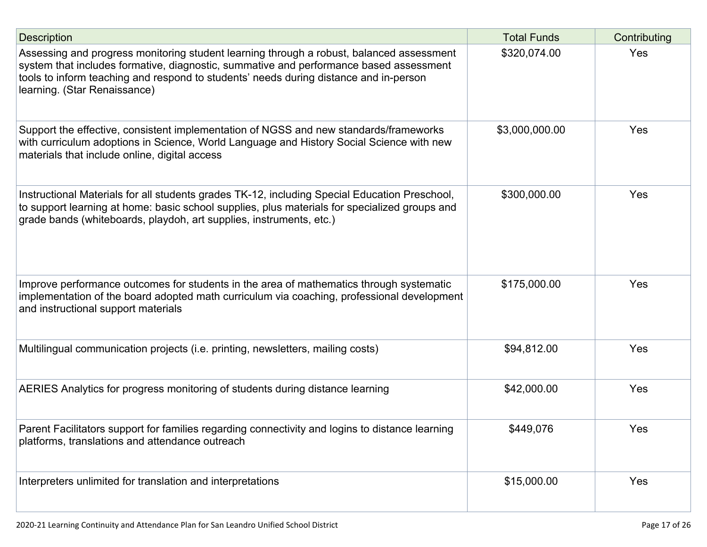| <b>Description</b>                                                                                                                                                                                                                                                                                          | <b>Total Funds</b> | Contributing |
|-------------------------------------------------------------------------------------------------------------------------------------------------------------------------------------------------------------------------------------------------------------------------------------------------------------|--------------------|--------------|
| Assessing and progress monitoring student learning through a robust, balanced assessment<br>system that includes formative, diagnostic, summative and performance based assessment<br>tools to inform teaching and respond to students' needs during distance and in-person<br>learning. (Star Renaissance) | \$320,074.00       | Yes          |
| Support the effective, consistent implementation of NGSS and new standards/frameworks<br>with curriculum adoptions in Science, World Language and History Social Science with new<br>materials that include online, digital access                                                                          | \$3,000,000.00     | Yes          |
| Instructional Materials for all students grades TK-12, including Special Education Preschool,<br>to support learning at home: basic school supplies, plus materials for specialized groups and<br>grade bands (whiteboards, playdoh, art supplies, instruments, etc.)                                       | \$300,000.00       | Yes          |
| Improve performance outcomes for students in the area of mathematics through systematic<br>implementation of the board adopted math curriculum via coaching, professional development<br>and instructional support materials                                                                                | \$175,000.00       | Yes          |
| Multilingual communication projects (i.e. printing, newsletters, mailing costs)                                                                                                                                                                                                                             | \$94,812.00        | Yes          |
| AERIES Analytics for progress monitoring of students during distance learning                                                                                                                                                                                                                               | \$42,000.00        | Yes          |
| Parent Facilitators support for families regarding connectivity and logins to distance learning<br>platforms, translations and attendance outreach                                                                                                                                                          | \$449,076          | Yes          |
| Interpreters unlimited for translation and interpretations                                                                                                                                                                                                                                                  | \$15,000.00        | Yes          |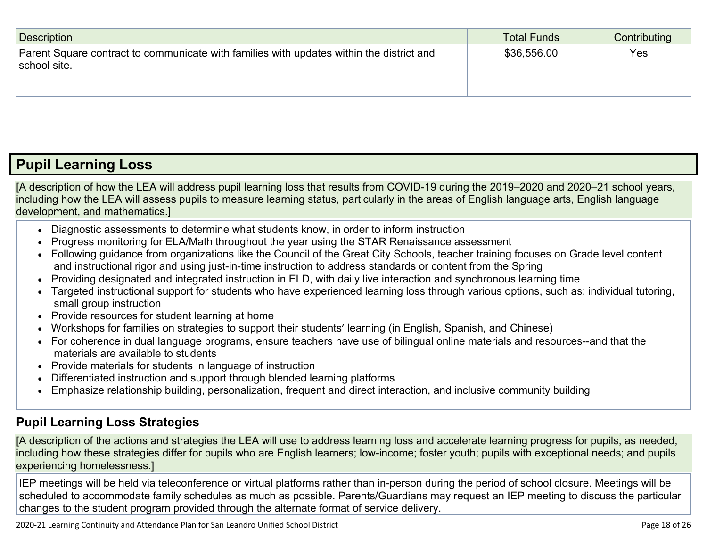| Description                                                                                              | Total Funds | Contributing |
|----------------------------------------------------------------------------------------------------------|-------------|--------------|
| Parent Square contract to communicate with families with updates within the district and<br>school site. | \$36,556.00 | Yes          |

# **Pupil [Learning](http://www.doc-tracking.com/screenshots/20LCP/Instructions/20LCPInstructions.htm#PupilLearningLoss) Loss**

[A description of how the LEA will address pupil learning loss that results from COVID-19 during the 2019–2020 and 2020–21 school years, including how the LEA will assess pupils to measure learning status, particularly in the areas of English language arts, English language development, and mathematics.]

- Diagnostic assessments to determine what students know, in order to inform instruction
- Progress monitoring for ELA/Math throughout the year using the STAR Renaissance assessment
- Following guidance from organizations like the Council of the Great City Schools, teacher training focuses on Grade level content and instructional rigor and using just-in-time instruction to address standards or content from the Spring
- Providing designated and integrated instruction in ELD, with daily live interaction and synchronous learning time
- Targeted instructional support for students who have experienced learning loss through various options, such as: individual tutoring, small group instruction
- Provide resources for student learning at home
- Workshops for families on strategies to support their students' learning (in English, Spanish, and Chinese)
- For coherence in dual language programs, ensure teachers have use of bilingual online materials and resources--and that the materials are available to students
- Provide materials for students in language of instruction
- Differentiated instruction and support through blended learning platforms
- Emphasize relationship building, personalization, frequent and direct interaction, and inclusive community building

## **Pupil Learning Loss [Strategies](http://www.doc-tracking.com/screenshots/20LCP/Instructions/20LCPInstructions.htm#PupilLearningLoss1)**

[A description of the actions and strategies the LEA will use to address learning loss and accelerate learning progress for pupils, as needed, including how these strategies differ for pupils who are English learners; low-income; foster youth; pupils with exceptional needs; and pupils experiencing homelessness.]

IEP meetings will be held via teleconference or virtual platforms rather than in-person during the period of school closure. Meetings will be scheduled to accommodate family schedules as much as possible. Parents/Guardians may request an IEP meeting to discuss the particular changes to the student program provided through the alternate format of service delivery.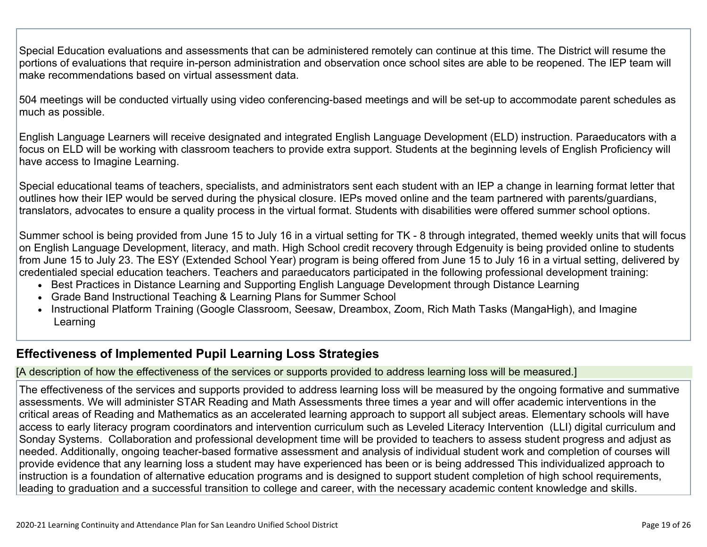Special Education evaluations and assessments that can be administered remotely can continue at this time. The District will resume the portions of evaluations that require in-person administration and observation once school sites are able to be reopened. The IEP team will make recommendations based on virtual assessment data.

504 meetings will be conducted virtually using video conferencing-based meetings and will be set-up to accommodate parent schedules as much as possible.

English Language Learners will receive designated and integrated English Language Development (ELD) instruction. Paraeducators with a focus on ELD will be working with classroom teachers to provide extra support. Students at the beginning levels of English Proficiency will have access to Imagine Learning.

Special educational teams of teachers, specialists, and administrators sent each student with an IEP a change in learning format letter that outlines how their IEP would be served during the physical closure. IEPs moved online and the team partnered with parents/guardians, translators, advocates to ensure a quality process in the virtual format. Students with disabilities were offered summer school options.

Summer school is being provided from June 15 to July 16 in a virtual setting for TK - 8 through integrated, themed weekly units that will focus on English Language Development, literacy, and math. High School credit recovery through Edgenuity is being provided online to students from June 15 to July 23. The ESY (Extended School Year) program is being offered from June 15 to July 16 in a virtual setting, delivered by credentialed special education teachers. Teachers and paraeducators participated in the following professional development training:

- Best Practices in Distance Learning and Supporting English Language Development through Distance Learning
- Grade Band Instructional Teaching & Learning Plans for Summer School
- Instructional Platform Training (Google Classroom, Seesaw, Dreambox, Zoom, Rich Math Tasks (MangaHigh), and Imagine Learning

## **[Effectiveness](http://www.doc-tracking.com/screenshots/20LCP/Instructions/20LCPInstructions.htm#PupilLearningLoss2) of Implemented Pupil Learning Loss Strategies**

### [A description of how the effectiveness of the services or supports provided to address learning loss will be measured.]

The effectiveness of the services and supports provided to address learning loss will be measured by the ongoing formative and summative assessments. We will administer STAR Reading and Math Assessments three times a year and will offer academic interventions in the critical areas of Reading and Mathematics as an accelerated learning approach to support all subject areas. Elementary schools will have access to early literacy program coordinators and intervention curriculum such as Leveled Literacy Intervention (LLI) digital curriculum and Sonday Systems. Collaboration and professional development time will be provided to teachers to assess student progress and adjust as needed. Additionally, ongoing teacher-based formative assessment and analysis of individual student work and completion of courses will provide evidence that any learning loss a student may have experienced has been or is being addressed This individualized approach to instruction is a foundation of alternative education programs and is designed to support student completion of high school requirements, leading to graduation and a successful transition to college and career, with the necessary academic content knowledge and skills.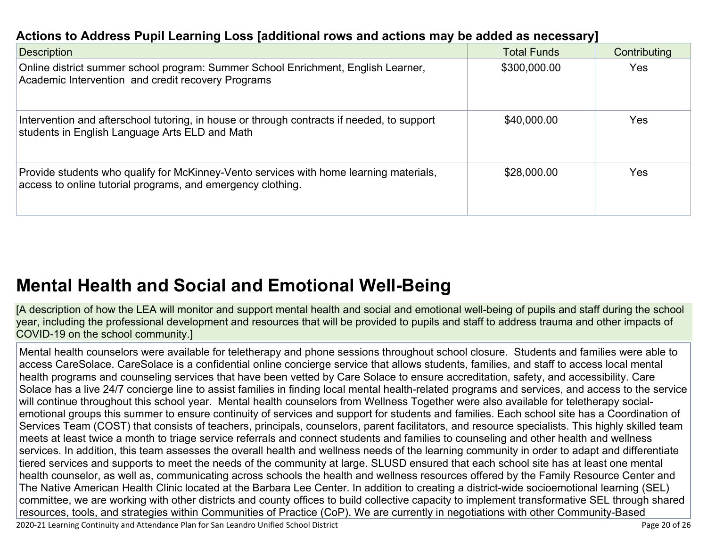# **Actions to Address Pupil Learning Loss [additional rows and actions may be added as [necessary\]](http://www.doc-tracking.com/screenshots/20LCP/Instructions/20LCPInstructions.htm#PupilLearningLoss4)**

| <b>Description</b>                                                                                                                                    | <b>Total Funds</b> | Contributing |
|-------------------------------------------------------------------------------------------------------------------------------------------------------|--------------------|--------------|
| Online district summer school program: Summer School Enrichment, English Learner,<br>Academic Intervention and credit recovery Programs               | \$300,000.00       | Yes          |
| Intervention and afterschool tutoring, in house or through contracts if needed, to support<br>students in English Language Arts ELD and Math          | \$40,000.00        | Yes          |
| Provide students who qualify for McKinney-Vento services with home learning materials,<br>access to online tutorial programs, and emergency clothing. | \$28,000.00        | Yes          |

# **Mental Health and Social and Emotional [Well-Being](http://www.doc-tracking.com/screenshots/20LCP/Instructions/20LCPInstructions.htm#MentalHealthandSocialandEmotional)**

[A description of how the LEA will monitor and support mental health and social and emotional well-being of pupils and staff during the school year, including the professional development and resources that will be provided to pupils and staff to address trauma and other impacts of COVID-19 on the school community.]

Mental health counselors were available for teletherapy and phone sessions throughout school closure. Students and families were able to access CareSolace. CareSolace is a confidential online concierge service that allows students, families, and staff to access local mental health programs and counseling services that have been vetted by Care Solace to ensure accreditation, safety, and accessibility. Care Solace has a live 24/7 concierge line to assist families in finding local mental health-related programs and services, and access to the service will continue throughout this school year. Mental health counselors from Wellness Together were also available for teletherapy socialemotional groups this summer to ensure continuity of services and support for students and families. Each school site has a Coordination of Services Team (COST) that consists of teachers, principals, counselors, parent facilitators, and resource specialists. This highly skilled team meets at least twice a month to triage service referrals and connect students and families to counseling and other health and wellness services. In addition, this team assesses the overall health and wellness needs of the learning community in order to adapt and differentiate tiered services and supports to meet the needs of the community at large. SLUSD ensured that each school site has at least one mental health counselor, as well as, communicating across schools the health and wellness resources offered by the Family Resource Center and The Native American Health Clinic located at the Barbara Lee Center. In addition to creating a district-wide socioemotional learning (SEL) committee, we are working with other districts and county offices to build collective capacity to implement transformative SEL through shared resources, tools, and strategies within Communities of Practice (CoP). We are currently in negotiations with other Community-Based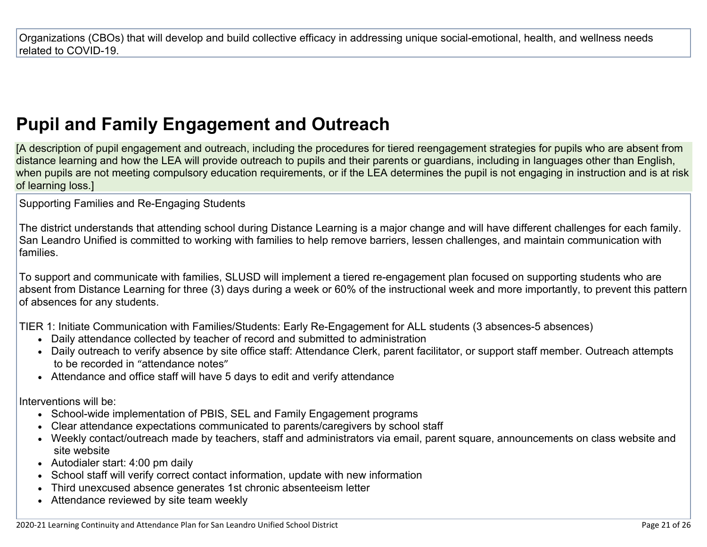Organizations (CBOs) that will develop and build collective efficacy in addressing unique social-emotional, health, and wellness needs related to COVID-19.

# **Pupil and Family [Engagement](http://www.doc-tracking.com/screenshots/20LCP/Instructions/20LCPInstructions.htm#PupilEngagementandOutreach) and Outreach**

[A description of pupil engagement and outreach, including the procedures for tiered reengagement strategies for pupils who are absent from distance learning and how the LEA will provide outreach to pupils and their parents or guardians, including in languages other than English, when pupils are not meeting compulsory education requirements, or if the LEA determines the pupil is not engaging in instruction and is at risk of learning loss.]

Supporting Families and Re-Engaging Students

The district understands that attending school during Distance Learning is a major change and will have different challenges for each family. San Leandro Unified is committed to working with families to help remove barriers, lessen challenges, and maintain communication with families.

To support and communicate with families, SLUSD will implement a tiered re-engagement plan focused on supporting students who are absent from Distance Learning for three (3) days during a week or 60% of the instructional week and more importantly, to prevent this pattern of absences for any students.

TIER 1: Initiate Communication with Families/Students: Early Re-Engagement for ALL students (3 absences-5 absences)

- Daily attendance collected by teacher of record and submitted to administration
- Daily outreach to verify absence by site office staff: Attendance Clerk, parent facilitator, or support staff member. Outreach attempts to be recorded in "attendance notes"
- Attendance and office staff will have 5 days to edit and verify attendance

Interventions will be:

- School-wide implementation of PBIS, SEL and Family Engagement programs
- Clear attendance expectations communicated to parents/caregivers by school staff
- Weekly contact/outreach made by teachers, staff and administrators via email, parent square, announcements on class website and site website
- Autodialer start: 4:00 pm daily
- School staff will verify correct contact information, update with new information
- Third unexcused absence generates 1st chronic absenteeism letter
- Attendance reviewed by site team weekly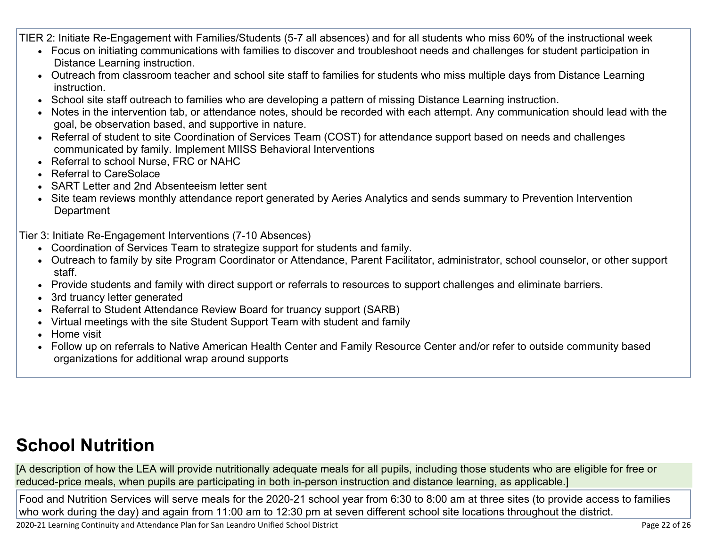TIER 2: Initiate Re-Engagement with Families/Students (5-7 all absences) and for all students who miss 60% of the instructional week

- Focus on initiating communications with families to discover and troubleshoot needs and challenges for student participation in Distance Learning instruction.
- Outreach from classroom teacher and school site staff to families for students who miss multiple days from Distance Learning instruction.
- School site staff outreach to families who are developing a pattern of missing Distance Learning instruction.
- Notes in the intervention tab, or attendance notes, should be recorded with each attempt. Any communication should lead with the goal, be observation based, and supportive in nature.
- Referral of student to site Coordination of Services Team (COST) for attendance support based on needs and challenges communicated by family. Implement MIISS Behavioral Interventions
- Referral to school Nurse, FRC or NAHC
- Referral to CareSolace
- SART Letter and 2nd Absenteeism letter sent
- Site team reviews monthly attendance report generated by Aeries Analytics and sends summary to Prevention Intervention **Department**

Tier 3: Initiate Re-Engagement Interventions (7-10 Absences)

- Coordination of Services Team to strategize support for students and family.
- Outreach to family by site Program Coordinator or Attendance, Parent Facilitator, administrator, school counselor, or other support staff.
- Provide students and family with direct support or referrals to resources to support challenges and eliminate barriers.
- 3rd truancy letter generated
- Referral to Student Attendance Review Board for truancy support (SARB)
- Virtual meetings with the site Student Support Team with student and family
- Home visit
- Follow up on referrals to Native American Health Center and Family Resource Center and/or refer to outside community based organizations for additional wrap around supports

# **School [Nutrition](http://www.doc-tracking.com/screenshots/20LCP/Instructions/20LCPInstructions.htm#SchoolNutrition)**

[A description of how the LEA will provide nutritionally adequate meals for all pupils, including those students who are eligible for free or reduced-price meals, when pupils are participating in both in-person instruction and distance learning, as applicable.]

Food and Nutrition Services will serve meals for the 2020-21 school year from 6:30 to 8:00 am at three sites (to provide access to families who work during the day) and again from 11:00 am to 12:30 pm at seven different school site locations throughout the district.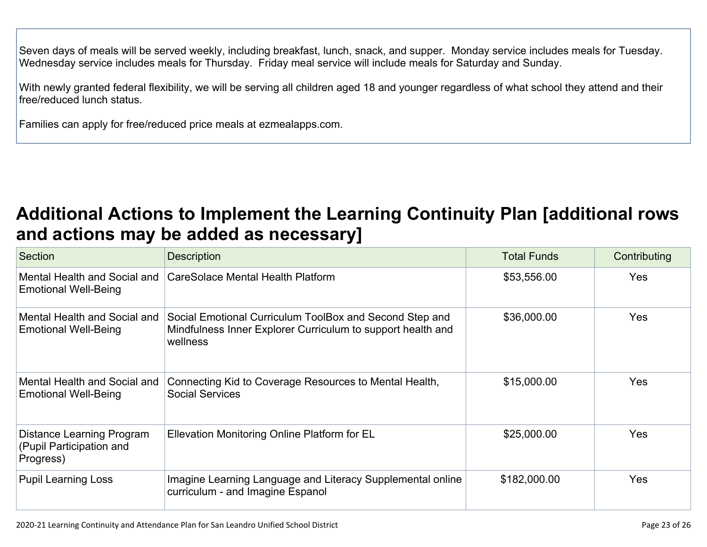Seven days of meals will be served weekly, including breakfast, lunch, snack, and supper. Monday service includes meals for Tuesday. Wednesday service includes meals for Thursday. Friday meal service will include meals for Saturday and Sunday.

With newly granted federal flexibility, we will be serving all children aged 18 and younger regardless of what school they attend and their free/reduced lunch status.

Families can apply for free/reduced price meals at ezmealapps.com.

# **Additional Actions to Implement the Learning Continuity Plan [\[additional](http://www.doc-tracking.com/screenshots/20LCP/Instructions/20LCPInstructions.htm#AdditionalActions) rows and actions may be added as [necessary\]](http://www.doc-tracking.com/screenshots/20LCP/Instructions/20LCPInstructions.htm#AdditionalActions)**

| Section                                                            | <b>Description</b>                                                                                                                 | <b>Total Funds</b> | Contributing |
|--------------------------------------------------------------------|------------------------------------------------------------------------------------------------------------------------------------|--------------------|--------------|
| Mental Health and Social and<br><b>Emotional Well-Being</b>        | CareSolace Mental Health Platform                                                                                                  | \$53,556.00        | <b>Yes</b>   |
| Mental Health and Social and<br><b>Emotional Well-Being</b>        | Social Emotional Curriculum ToolBox and Second Step and<br>Mindfulness Inner Explorer Curriculum to support health and<br>wellness | \$36,000.00        | <b>Yes</b>   |
| Mental Health and Social and<br><b>Emotional Well-Being</b>        | Connecting Kid to Coverage Resources to Mental Health,<br><b>Social Services</b>                                                   | \$15,000.00        | <b>Yes</b>   |
| Distance Learning Program<br>(Pupil Participation and<br>Progress) | Ellevation Monitoring Online Platform for EL                                                                                       | \$25,000.00        | <b>Yes</b>   |
| <b>Pupil Learning Loss</b>                                         | Imagine Learning Language and Literacy Supplemental online<br>curriculum - and Imagine Espanol                                     | \$182,000.00       | <b>Yes</b>   |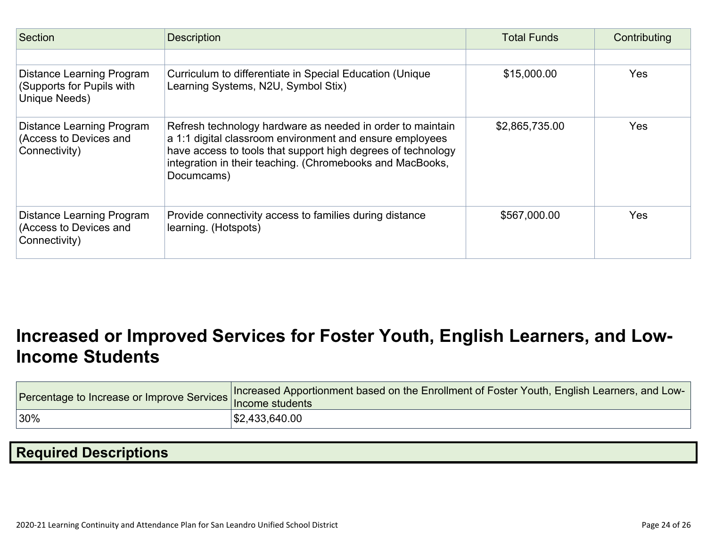| <b>Section</b>                                                          | <b>Description</b>                                                                                                                                                                                                                                                | <b>Total Funds</b> | Contributing |
|-------------------------------------------------------------------------|-------------------------------------------------------------------------------------------------------------------------------------------------------------------------------------------------------------------------------------------------------------------|--------------------|--------------|
|                                                                         |                                                                                                                                                                                                                                                                   |                    |              |
| Distance Learning Program<br>(Supports for Pupils with<br>Unique Needs) | Curriculum to differentiate in Special Education (Unique<br>Learning Systems, N2U, Symbol Stix)                                                                                                                                                                   | \$15,000.00        | Yes          |
| Distance Learning Program<br>(Access to Devices and<br>Connectivity)    | Refresh technology hardware as needed in order to maintain<br>a 1:1 digital classroom environment and ensure employees<br>have access to tools that support high degrees of technology<br>integration in their teaching. (Chromebooks and MacBooks,<br>Documcams) | \$2,865,735.00     | <b>Yes</b>   |
| Distance Learning Program<br>(Access to Devices and<br>Connectivity)    | Provide connectivity access to families during distance<br>learning. (Hotspots)                                                                                                                                                                                   | \$567,000.00       | Yes          |

# **[Increased](http://www.doc-tracking.com/screenshots/20LCP/Instructions/20LCPInstructions.htm#IncreasedorImprovedServices) or Improved Services for Foster Youth, English Learners, and Low-Income [Students](http://www.doc-tracking.com/screenshots/20LCP/Instructions/20LCPInstructions.htm#IncreasedorImprovedServices)**

| Procentage to Increase or Improve Services Increased by Presidents | Increased Apportionment based on the Enrollment of Foster Youth, English Learners, and Low- |
|--------------------------------------------------------------------|---------------------------------------------------------------------------------------------|
| $ 30\%$                                                            | \$2,433,640.00                                                                              |

# **Required [Descriptions](http://www.doc-tracking.com/screenshots/20LCP/Instructions/20LCPInstructions.htm#RequiredDescriptions)**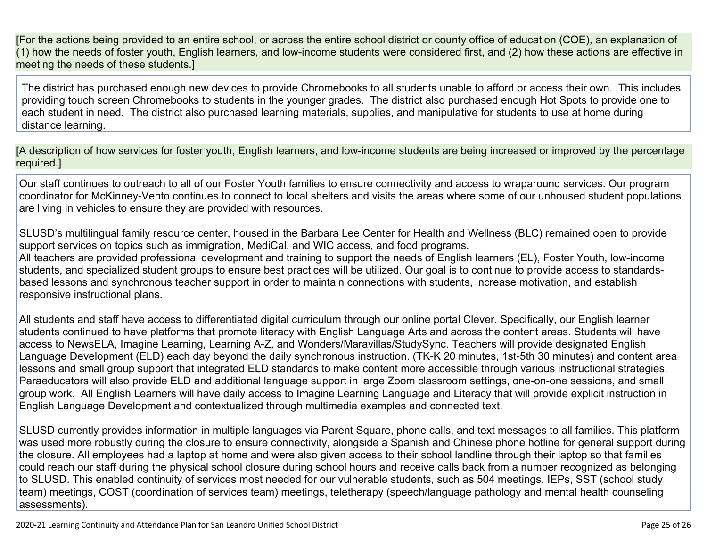[For the actions being provided to an entire school, or across the entire school district or county office of education (COE), an explanation of (1) how the needs of foster youth, English learners, and low-income students were considered first, and (2) how these actions are effective in meeting the needs of these students.]

The district has purchased enough new devices to provide Chromebooks to all students unable to afford or access their own. This includes providing touch screen Chromebooks to students in the younger grades. The district also purchased enough Hot Spots to provide one to each student in need. The district also purchased learning materials, supplies, and manipulative for students to use at home during distance learning.

[A description of how services for foster youth, English learners, and low-income students are being increased or improved by the percentage required.]

Our staff continues to outreach to all of our Foster Youth families to ensure connectivity and access to wraparound services. Our program coordinator for McKinney-Vento continues to connect to local shelters and visits the areas where some of our unhoused student populations are living in vehicles to ensure they are provided with resources.

SLUSD's multilingual family resource center, housed in the Barbara Lee Center for Health and Wellness (BLC) remained open to provide support services on topics such as immigration, MediCal, and WIC access, and food programs. All teachers are provided professional development and training to support the needs of English learners (EL), Foster Youth, low-income students, and specialized student groups to ensure best practices will be utilized. Our goal is to continue to provide access to standardsbased lessons and synchronous teacher support in order to maintain connections with students, increase motivation, and establish responsive instructional plans.

All students and staff have access to differentiated digital curriculum through our online portal Clever. Specifically, our English learner students continued to have platforms that promote literacy with English Language Arts and across the content areas. Students will have access to NewsELA, Imagine Learning, Learning A-Z, and Wonders/Maravillas/StudySync. Teachers will provide designated English Language Development (ELD) each day beyond the daily synchronous instruction. (TK-K 20 minutes, 1st-5th 30 minutes) and content area lessons and small group support that integrated ELD standards to make content more accessible through various instructional strategies. Paraeducators will also provide ELD and additional language support in large Zoom classroom settings, one-on-one sessions, and small group work. All English Learners will have daily access to Imagine Learning Language and Literacy that will provide explicit instruction in English Language Development and contextualized through multimedia examples and connected text.

SLUSD currently provides information in multiple languages via Parent Square, phone calls, and text messages to all families. This platform was used more robustly during the closure to ensure connectivity, alongside a Spanish and Chinese phone hotline for general support during the closure. All employees had a laptop at home and were also given access to their school landline through their laptop so that families could reach our staff during the physical school closure during school hours and receive calls back from a number recognized as belonging to SLUSD. This enabled continuity of services most needed for our vulnerable students, such as 504 meetings, IEPs, SST (school study team) meetings, COST (coordination of services team) meetings, teletherapy (speech/language pathology and mental health counseling assessments).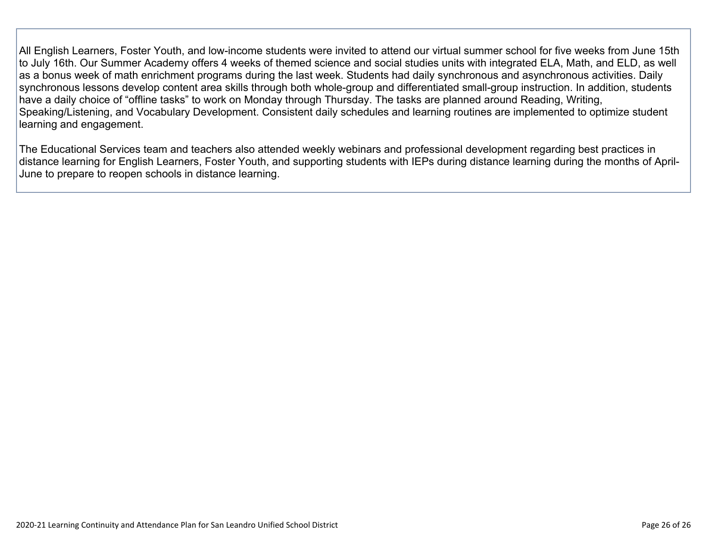All English Learners, Foster Youth, and low-income students were invited to attend our virtual summer school for five weeks from June 15th to July 16th. Our Summer Academy offers 4 weeks of themed science and social studies units with integrated ELA, Math, and ELD, as well as a bonus week of math enrichment programs during the last week. Students had daily synchronous and asynchronous activities. Daily synchronous lessons develop content area skills through both whole-group and differentiated small-group instruction. In addition, students have a daily choice of "offline tasks" to work on Monday through Thursday. The tasks are planned around Reading, Writing, Speaking/Listening, and Vocabulary Development. Consistent daily schedules and learning routines are implemented to optimize student learning and engagement.

The Educational Services team and teachers also attended weekly webinars and professional development regarding best practices in distance learning for English Learners, Foster Youth, and supporting students with IEPs during distance learning during the months of April-June to prepare to reopen schools in distance learning.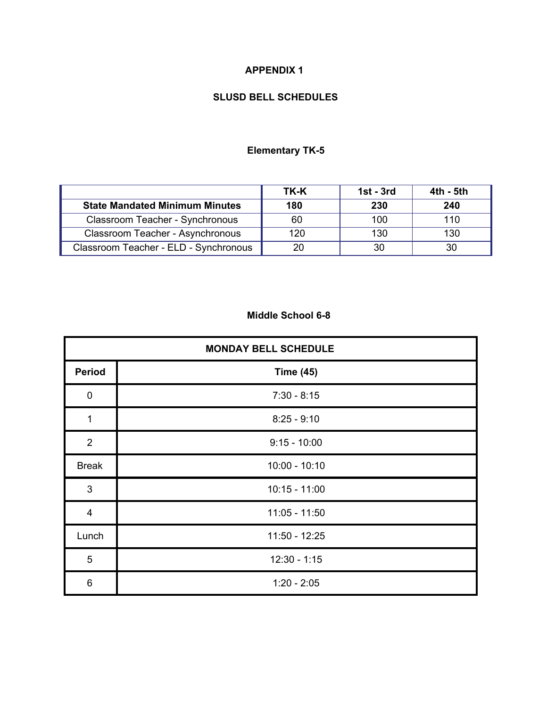### **APPENDIX 1**

### **SLUSD BELL SCHEDULES**

### **Elementary TK-5**

|                                       | TK-K | $1st - 3rd$ | 4th - 5th |
|---------------------------------------|------|-------------|-----------|
| <b>State Mandated Minimum Minutes</b> | 180  | 230         | 240       |
| Classroom Teacher - Synchronous       | 60   | 100         | 110       |
| Classroom Teacher - Asynchronous      | 120  | 130         | 130       |
| Classroom Teacher - ELD - Synchronous |      |             |           |

### **Middle School 6-8**

| <b>MONDAY BELL SCHEDULE</b> |                  |  |
|-----------------------------|------------------|--|
| <b>Period</b>               | <b>Time (45)</b> |  |
| $\mathbf 0$                 | $7:30 - 8:15$    |  |
| 1                           | $8:25 - 9:10$    |  |
| $\overline{2}$              | $9:15 - 10:00$   |  |
| <b>Break</b>                | $10:00 - 10:10$  |  |
| $\sqrt{3}$                  | $10:15 - 11:00$  |  |
| $\overline{\mathbf{4}}$     | $11:05 - 11:50$  |  |
| Lunch                       | $11:50 - 12:25$  |  |
| 5                           | $12:30 - 1:15$   |  |
| 6                           | $1:20 - 2:05$    |  |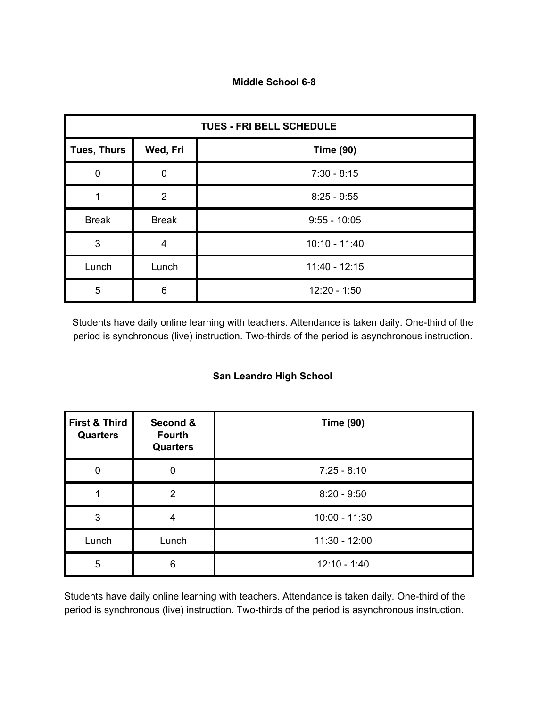#### **Middle School 6-8**

| <b>TUES - FRI BELL SCHEDULE</b> |                |                  |  |  |
|---------------------------------|----------------|------------------|--|--|
| <b>Tues, Thurs</b>              | Wed, Fri       | <b>Time (90)</b> |  |  |
| 0                               | $\mathbf 0$    | $7:30 - 8:15$    |  |  |
|                                 | $\overline{2}$ | $8:25 - 9:55$    |  |  |
| <b>Break</b>                    | <b>Break</b>   | $9:55 - 10:05$   |  |  |
| 3                               | 4              | $10:10 - 11:40$  |  |  |
| Lunch                           | Lunch          | $11:40 - 12:15$  |  |  |
| 5                               | 6              | $12:20 - 1:50$   |  |  |

Students have daily online learning with teachers. Attendance is taken daily. One-third of the period is synchronous (live) instruction. Two-thirds of the period is asynchronous instruction.

### **San Leandro High School**

| <b>First &amp; Third</b><br><b>Quarters</b> | Second &<br><b>Fourth</b><br><b>Quarters</b> | <b>Time (90)</b> |
|---------------------------------------------|----------------------------------------------|------------------|
| 0                                           |                                              | $7:25 - 8:10$    |
|                                             | $\mathcal{P}$                                | $8:20 - 9:50$    |
| 3                                           |                                              | $10:00 - 11:30$  |
| Lunch                                       | Lunch                                        | $11:30 - 12:00$  |
| 5                                           | 6                                            | $12:10 - 1:40$   |

Students have daily online learning with teachers. Attendance is taken daily. One-third of the period is synchronous (live) instruction. Two-thirds of the period is asynchronous instruction.